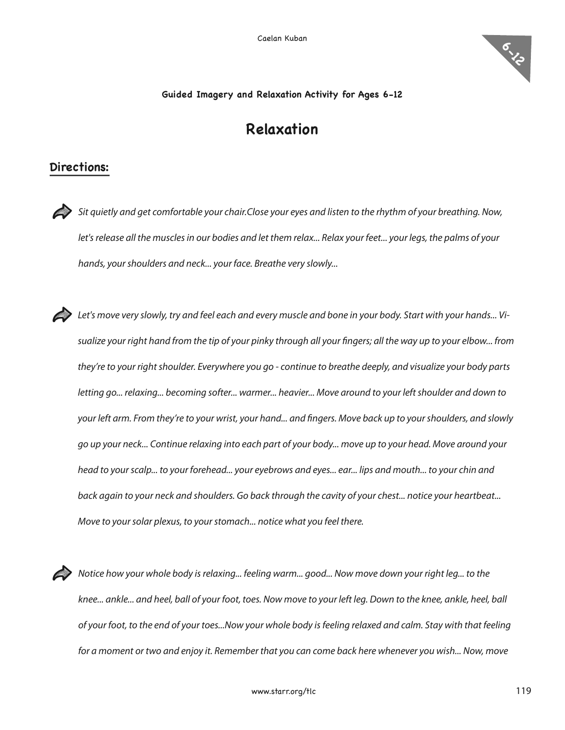

## **Guided Imagery and Relaxation Activity for Ages 6-12**

## **Relaxation**

## **Directions:**

Sit quietly and get comfortable your chair.Close your eyes and listen to the rhythm of your breathing. Now, let's release all the muscles in our bodies and let them relax... Relax your feet... your legs, the palms of your hands, your shoulders and neck... your face. Breathe very slowly...

**Example 2** Let's move very slowly, try and feel each and every muscle and bone in your body. Start with your hands... Visualize your right hand from the tip of your pinky through all your fingers; all the way up to your elbow... from they're to your right shoulder. Everywhere you go - continue to breathe deeply, and visualize your body parts letting go... relaxing... becoming softer... warmer... heavier... Move around to your left shoulder and down to your left arm. From they're to your wrist, your hand... and fingers. Move back up to your shoulders, and slowly go up your neck... Continue relaxing into each part of your body... move up to your head. Move around your head to your scalp... to your forehead... your eyebrows and eyes... ear... lips and mouth... to your chin and back again to your neck and shoulders. Go back through the cavity of your chest... notice your heartbeat... Move to your solar plexus, to your stomach... notice what you feel there.

Notice how your whole body is relaxing... feeling warm... good... Now move down your right leg... to the knee... ankle... and heel, ball of your foot, toes. Now move to your left leg. Down to the knee, ankle, heel, ball of your foot, to the end of your toes...Now your whole body isfeeling relaxed and calm. Stay with that feeling for a moment or two and enjoy it. Remember that you can come back here whenever you wish... Now, move